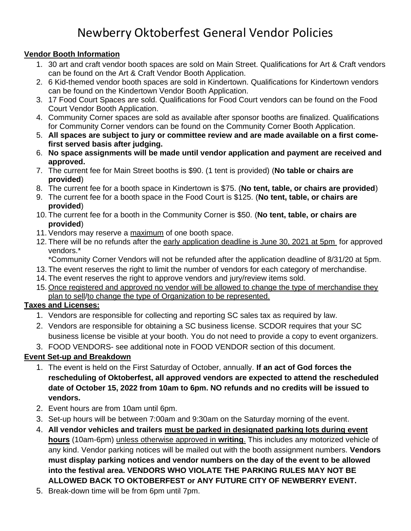# Newberry Oktoberfest General Vendor Policies

#### **Vendor Booth Information**

- 1. 30 art and craft vendor booth spaces are sold on Main Street. Qualifications for Art & Craft vendors can be found on the Art & Craft Vendor Booth Application.
- 2. 6 Kid-themed vendor booth spaces are sold in Kindertown. Qualifications for Kindertown vendors can be found on the Kindertown Vendor Booth Application.
- 3. 17 Food Court Spaces are sold. Qualifications for Food Court vendors can be found on the Food Court Vendor Booth Application.
- 4. Community Corner spaces are sold as available after sponsor booths are finalized. Qualifications for Community Corner vendors can be found on the Community Corner Booth Application.
- 5. **All spaces are subject to jury or committee review and are made available on a first comefirst served basis after judging.**
- 6. **No space assignments will be made until vendor application and payment are received and approved.**
- 7. The current fee for Main Street booths is \$90. (1 tent is provided) (**No table or chairs are provided**)
- 8. The current fee for a booth space in Kindertown is \$75. (**No tent, table, or chairs are provided**)
- 9. The current fee for a booth space in the Food Court is \$125. (**No tent, table, or chairs are provided**)
- 10. The current fee for a booth in the Community Corner is \$50. (**No tent, table, or chairs are provided**)
- 11. Vendors may reserve a maximum of one booth space.
- 12. There will be no refunds after the early application deadline is June 30, 2021 at 5pm for approved vendors.\*

\*Community Corner Vendors will not be refunded after the application deadline of 8/31/20 at 5pm.

- 13. The event reserves the right to limit the number of vendors for each category of merchandise.
- 14. The event reserves the right to approve vendors and jury/review items sold.
- 15. Once registered and approved no vendor will be allowed to change the type of merchandise they plan to sell/to change the type of Organization to be represented.

### **Taxes and Licenses:**

- 1. Vendors are responsible for collecting and reporting SC sales tax as required by law.
- 2. Vendors are responsible for obtaining a SC business license. SCDOR requires that your SC business license be visible at your booth. You do not need to provide a copy to event organizers.
- 3. FOOD VENDORS- see additional note in FOOD VENDOR section of this document.

## **Event Set-up and Breakdown**

- 1. The event is held on the First Saturday of October, annually. **If an act of God forces the rescheduling of Oktoberfest, all approved vendors are expected to attend the rescheduled date of October 15, 2022 from 10am to 6pm. NO refunds and no credits will be issued to vendors.**
- 2. Event hours are from 10am until 6pm.
- 3. Set-up hours will be between 7:00am and 9:30am on the Saturday morning of the event.
- 4. **All vendor vehicles and trailers must be parked in designated parking lots during event hours** (10am-6pm) unless otherwise approved in **writing**. This includes any motorized vehicle of any kind. Vendor parking notices will be mailed out with the booth assignment numbers. **Vendors must display parking notices and vendor numbers on the day of the event to be allowed into the festival area. VENDORS WHO VIOLATE THE PARKING RULES MAY NOT BE ALLOWED BACK TO OKTOBERFEST or ANY FUTURE CITY OF NEWBERRY EVENT.**
- 5. Break-down time will be from 6pm until 7pm.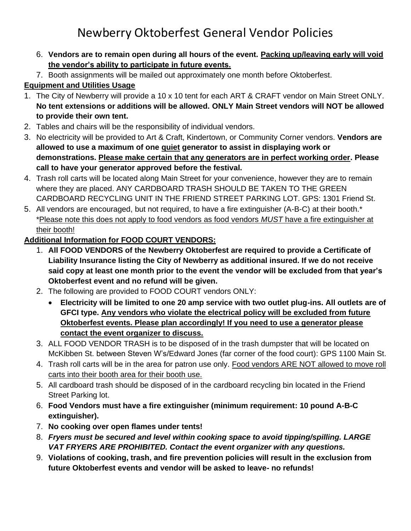# Newberry Oktoberfest General Vendor Policies

- 6. **Vendors are to remain open during all hours of the event. Packing up/leaving early will void the vendor's ability to participate in future events.**
- 7. Booth assignments will be mailed out approximately one month before Oktoberfest.

## **Equipment and Utilities Usage**

- 1. The City of Newberry will provide a 10 x 10 tent for each ART & CRAFT vendor on Main Street ONLY. **No tent extensions or additions will be allowed. ONLY Main Street vendors will NOT be allowed to provide their own tent.**
- 2. Tables and chairs will be the responsibility of individual vendors.
- 3. No electricity will be provided to Art & Craft, Kindertown, or Community Corner vendors. **Vendors are allowed to use a maximum of one quiet generator to assist in displaying work or demonstrations. Please make certain that any generators are in perfect working order. Please call to have your generator approved before the festival.**
- 4. Trash roll carts will be located along Main Street for your convenience, however they are to remain where they are placed. ANY CARDBOARD TRASH SHOULD BE TAKEN TO THE GREEN CARDBOARD RECYCLING UNIT IN THE FRIEND STREET PARKING LOT. GPS: 1301 Friend St.
- 5. All vendors are encouraged, but not required, to have a fire extinguisher (A-B-C) at their booth.\* \*Please note this does not apply to food vendors as food vendors *MUST* have a fire extinguisher at their booth!

### **Additional Information for FOOD COURT VENDORS:**

- 1. **All FOOD VENDORS of the Newberry Oktoberfest are required to provide a Certificate of Liability Insurance listing the City of Newberry as additional insured. If we do not receive said copy at least one month prior to the event the vendor will be excluded from that year's Oktoberfest event and no refund will be given.**
- 2. The following are provided to FOOD COURT vendors ONLY:
	- **Electricity will be limited to one 20 amp service with two outlet plug-ins. All outlets are of GFCI type. Any vendors who violate the electrical policy will be excluded from future Oktoberfest events. Please plan accordingly! If you need to use a generator please contact the event organizer to discuss.**
- 3. ALL FOOD VENDOR TRASH is to be disposed of in the trash dumpster that will be located on McKibben St. between Steven W's/Edward Jones (far corner of the food court): GPS 1100 Main St.
- 4. Trash roll carts will be in the area for patron use only. Food vendors ARE NOT allowed to move roll carts into their booth area for their booth use.
- 5. All cardboard trash should be disposed of in the cardboard recycling bin located in the Friend Street Parking lot.
- 6. **Food Vendors must have a fire extinguisher (minimum requirement: 10 pound A-B-C extinguisher).**
- 7. **No cooking over open flames under tents!**
- 8. *Fryers must be secured and level within cooking space to avoid tipping/spilling. LARGE VAT FRYERS ARE PROHIBITED. Contact the event organizer with any questions.*
- 9. **Violations of cooking, trash, and fire prevention policies will result in the exclusion from future Oktoberfest events and vendor will be asked to leave- no refunds!**